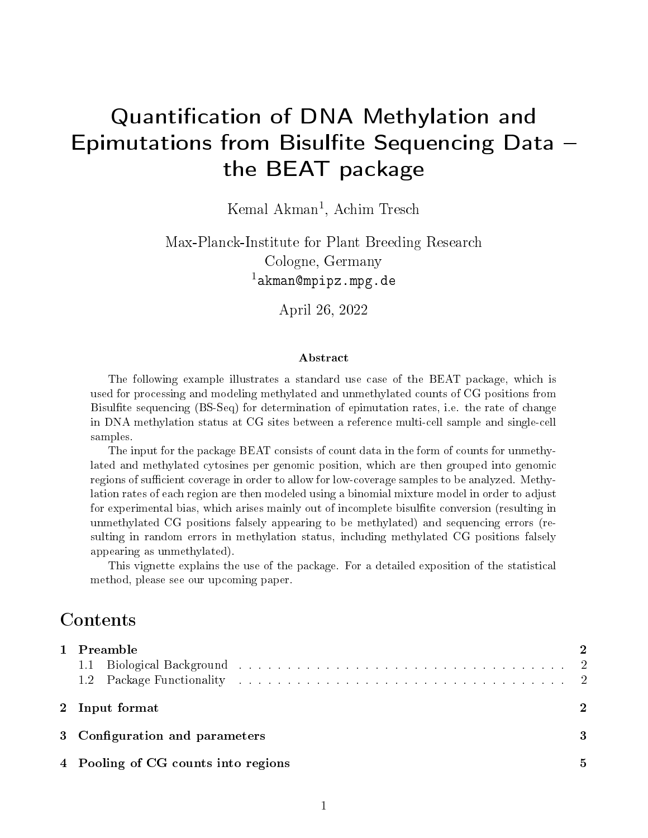# Quantification of DNA Methylation and Epimutations from Bisulfite Sequencing Data  $$ the BEAT package

Kemal Akman<sup>1</sup>, Achim Tresch

Max-Planck-Institute for Plant Breeding Research Cologne, Germany  $1$ akman@mpipz.mpg.de

April 26, 2022

#### Abstract

The following example illustrates a standard use case of the BEAT package, which is used for processing and modeling methylated and unmethylated counts of CG positions from Bisulfite sequencing (BS-Seq) for determination of epimutation rates, i.e. the rate of change in DNA methylation status at CG sites between a reference multi-cell sample and single-cell samples.

The input for the package BEAT consists of count data in the form of counts for unmethylated and methylated cytosines per genomic position, which are then grouped into genomic regions of sufficient coverage in order to allow for low-coverage samples to be analyzed. Methylation rates of each region are then modeled using a binomial mixture model in order to adjust for experimental bias, which arises mainly out of incomplete bisulfite conversion (resulting in unmethylated CG positions falsely appearing to be methylated) and sequencing errors (resulting in random errors in methylation status, including methylated CG positions falsely appearing as unmethylated).

This vignette explains the use of the package. For a detailed exposition of the statistical method, please see our upcoming paper.

#### Contents

| 1 Preamble                          |  |  |  |  |
|-------------------------------------|--|--|--|--|
|                                     |  |  |  |  |
|                                     |  |  |  |  |
| 2 Input format                      |  |  |  |  |
| 3 Configuration and parameters      |  |  |  |  |
| 4 Pooling of CG counts into regions |  |  |  |  |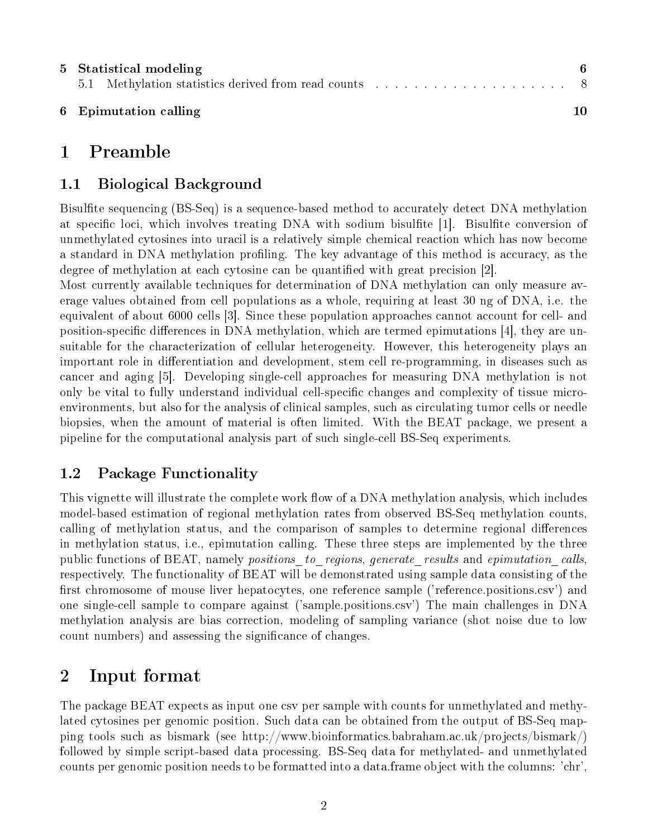|  | 5 Statistical modeling |  |  |    |  |
|--|------------------------|--|--|----|--|
|  |                        |  |  |    |  |
|  | 6 Epimutation calling  |  |  | 10 |  |

## 1 Preamble

#### 1.1 Biological Background

Bisulfite sequencing (BS-Seq) is a sequence-based method to accurately detect DNA methylation at specific loci, which involves treating DNA with sodium bisulfite [1]. Bisulfite conversion of unmethylated cytosines into uracil is a relatively simple chemical reaction which has now become a standard in DNA methylation profiling. The key advantage of this method is accuracy, as the degree of methylation at each cytosine can be quantified with great precision [2].

Most currently available techniques for determination of DNA methylation can only measure average values obtained from cell populations as a whole, requiring at least 30 ng of DNA, i.e. the equivalent of about 6000 cells [3]. Since these population approaches cannot account for cell- and position-specific differences in DNA methylation, which are termed epimutations  $[4]$ , they are unsuitable for the characterization of cellular heterogeneity. However, this heterogeneity plays an important role in differentiation and development, stem cell re-programming, in diseases such as cancer and aging [5]. Developing single-cell approaches for measuring DNA methylation is not only be vital to fully understand individual cell-specific changes and complexity of tissue microenvironments, but also for the analysis of clinical samples, such as circulating tumor cells or needle biopsies, when the amount of material is often limited. With the BEAT package, we present a pipeline for the computational analysis part of such single-cell BS-Seq experiments.

#### 1.2 Package Functionality

This vignette will illustrate the complete work flow of a DNA methylation analysis, which includes model-based estimation of regional methylation rates from observed BS-Seq methylation counts, calling of methylation status, and the comparison of samples to determine regional differences in methylation status, i.e., epimutation calling. These three steps are implemented by the three public functions of BEAT, namely positions to regions, generate results and epimutation calls, respectively. The functionality of BEAT will be demonstrated using sample data consisting of the first chromosome of mouse liver hepatocytes, one reference sample ('reference.positions.csv') and one single-cell sample to compare against ('sample.positions.csv') The main challenges in DNA methylation analysis are bias correction, modeling of sampling variance (shot noise due to low count numbers) and assessing the significance of changes.

# 2 Input format

The package BEAT expects as input one csv per sample with counts for unmethylated and methylated cytosines per genomic position. Such data can be obtained from the output of BS-Seq mapping tools such as bismark (see http://www.bioinformatics.babraham.ac.uk/projects/bismark/) followed by simple script-based data processing. BS-Seq data for methylated- and unmethylated counts per genomic position needs to be formatted into a data.frame object with the columns: 'chr',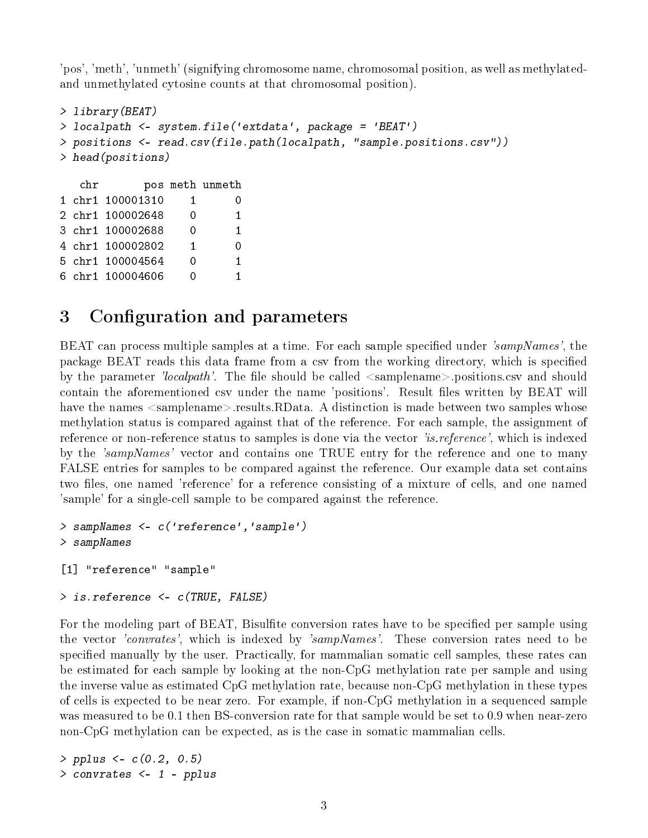'pos', 'meth', 'unmeth' (signifying chromosome name, chromosomal position, as well as methylatedand unmethylated cytosine counts at that chromosomal position).

```
> library(BEAT)
> localpath <- system.file('extdata', package = 'BEAT')
> positions <- read.csv(file.path(localpath, "sample.positions.csv"))
> head(positions)
  chr pos meth unmeth
1 chr1 100001310 1 0
2 chr1 100002648 0 1
3 chr1 100002688 0 1
4 chr1 100002802 1 0
5 chr1 100004564 0 1
6 chr1 100004606 0 1
```
### 3 Configuration and parameters

BEAT can process multiple samples at a time. For each sample specified under 'sampNames', the package BEAT reads this data frame from a csv from the working directory, which is specified by the parameter 'localpath'. The file should be called  $\leq$ samplename $\geq$ .positions.csv and should contain the aforementioned csv under the name 'positions'. Result files written by BEAT will have the names  $\leq$ samplename $\geq$ .results.RData. A distinction is made between two samples whose methylation status is compared against that of the reference. For each sample, the assignment of reference or non-reference status to samples is done via the vector 'is. reference', which is indexed by the 'sampNames' vector and contains one TRUE entry for the reference and one to many FALSE entries for samples to be compared against the reference. Our example data set contains two files, one named 'reference' for a reference consisting of a mixture of cells, and one named 'sample' for a single-cell sample to be compared against the reference.

```
> sampNames <- c('reference','sample')
> sampNames
[1] "reference" "sample"
```

```
> is.reference <- c(TRUE, FALSE)
```
For the modeling part of BEAT, Bisulfite conversion rates have to be specified per sample using the vector *'convrates'*, which is indexed by *'sampNames'*. These conversion rates need to be specified manually by the user. Practically, for mammalian somatic cell samples, these rates can be estimated for each sample by looking at the non-CpG methylation rate per sample and using the inverse value as estimated CpG methylation rate, because non-CpG methylation in these types of cells is expected to be near zero. For example, if non-CpG methylation in a sequenced sample was measured to be 0.1 then BS-conversion rate for that sample would be set to 0.9 when near-zero non-CpG methylation can be expected, as is the case in somatic mammalian cells.

> pplus <- c(0.2, 0.5) > convrates <- 1 - pplus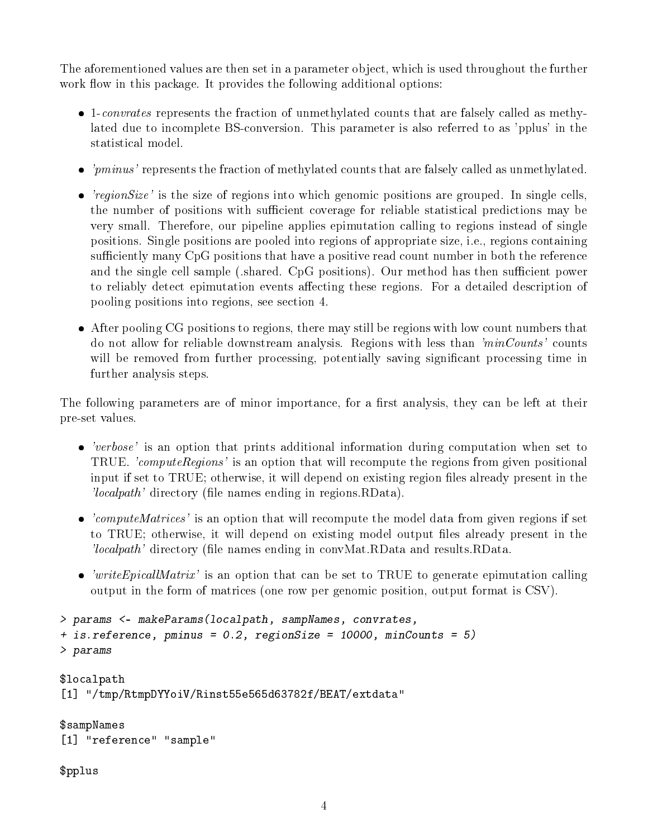The aforementioned values are then set in a parameter object, which is used throughout the further work flow in this package. It provides the following additional options:

- 1-convrates represents the fraction of unmethylated counts that are falsely called as methylated due to incomplete BS-conversion. This parameter is also referred to as 'pplus' in the statistical model.
- $\bullet$  'pminus' represents the fraction of methylated counts that are falsely called as unmethylated.
- $\bullet$  'regionSize' is the size of regions into which genomic positions are grouped. In single cells, the number of positions with sufficient coverage for reliable statistical predictions may be very small. Therefore, our pipeline applies epimutation calling to regions instead of single positions. Single positions are pooled into regions of appropriate size, i.e., regions containing sufficiently many CpG positions that have a positive read count number in both the reference and the single cell sample (.shared. CpG positions). Our method has then sufficient power to reliably detect epimutation events affecting these regions. For a detailed description of pooling positions into regions, see section 4.
- After pooling CG positions to regions, there may still be regions with low count numbers that do not allow for reliable downstream analysis. Regions with less than 'minCounts' counts will be removed from further processing, potentially saving significant processing time in further analysis steps.

The following parameters are of minor importance, for a first analysis, they can be left at their pre-set values.

- 'verbose' is an option that prints additional information during computation when set to TRUE. 'computeRegions' is an option that will recompute the regions from given positional input if set to TRUE; otherwise, it will depend on existing region files already present in the  $\ell local path$  directory (file names ending in regions. RData).
- 'computeMatrices' is an option that will recompute the model data from given regions if set to TRUE; otherwise, it will depend on existing model output files already present in the 'localpath' directory (file names ending in convMat.RData and results.RData.
- $\bullet$  'writeEpicallMatrix' is an option that can be set to TRUE to generate epimutation calling output in the form of matrices (one row per genomic position, output format is CSV).

```
> params <- makeParams(localpath, sampNames, convrates,
+ is.reference, pminus = 0.2, regionSize = 10000, minCounts = 5)
> params
$localpath
[1] "/tmp/RtmpDYYoiV/Rinst55e565d63782f/BEAT/extdata"
$sampNames
[1] "reference" "sample"
```
\$pplus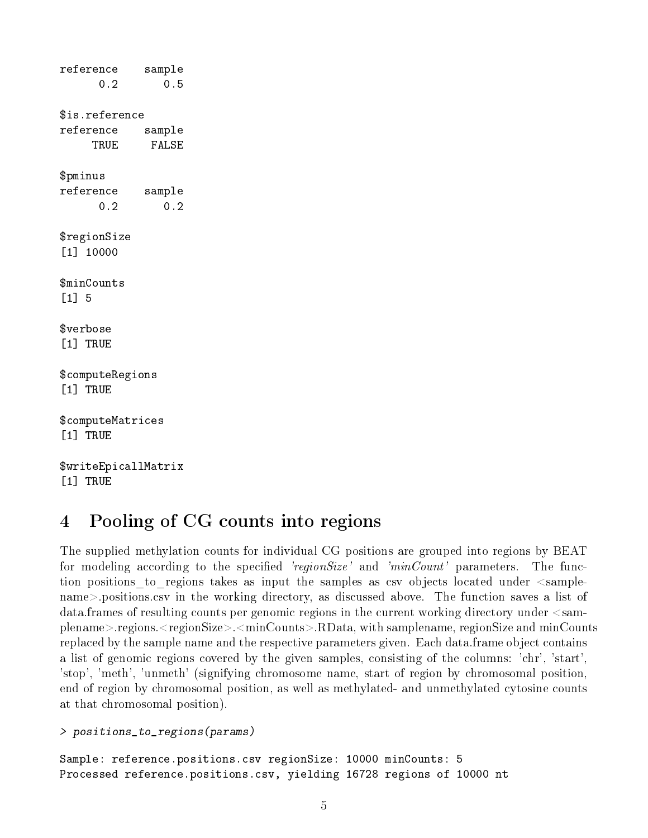reference sample 0.2 0.5 \$is.reference reference sample TRUE FALSE \$pminus reference sample 0.2 0.2 \$regionSize [1] 10000 \$minCounts [1] 5 \$verbose [1] TRUE \$computeRegions [1] TRUE \$computeMatrices [1] TRUE \$writeEpicallMatrix [1] TRUE

# 4 Pooling of CG counts into regions

The supplied methylation counts for individual CG positions are grouped into regions by BEAT for modeling according to the specified 'regionSize' and ' $minCount'$  parameters. The function positions to regions takes as input the samples as csv objects located under  $\leq$ samplename>.positions.csv in the working directory, as discussed above. The function saves a list of data.frames of resulting counts per genomic regions in the current working directory under <samplename>.regions.<regionSize>.<minCounts>.RData, with samplename, regionSize and minCounts replaced by the sample name and the respective parameters given. Each data.frame object contains a list of genomic regions covered by the given samples, consisting of the columns: 'chr', 'start', 'stop', 'meth', 'unmeth' (signifying chromosome name, start of region by chromosomal position, end of region by chromosomal position, as well as methylated- and unmethylated cytosine counts at that chromosomal position).

```
> positions_to_regions(params)
```
Sample: reference.positions.csv regionSize: 10000 minCounts: 5 Processed reference.positions.csv, yielding 16728 regions of 10000 nt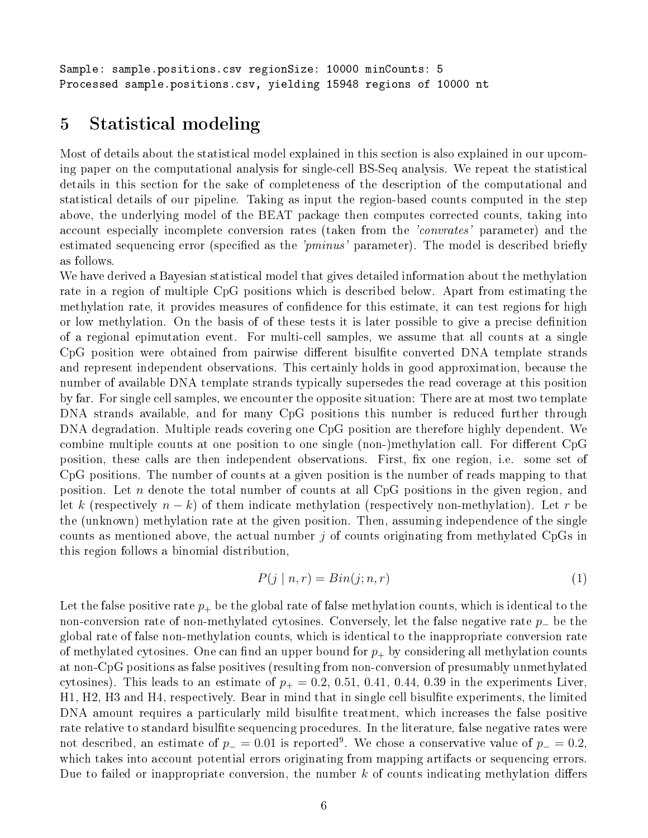Sample: sample.positions.csv regionSize: 10000 minCounts: 5 Processed sample.positions.csv, yielding 15948 regions of 10000 nt

### 5 Statistical modeling

Most of details about the statistical model explained in this section is also explained in our upcoming paper on the computational analysis for single-cell BS-Seq analysis. We repeat the statistical details in this section for the sake of completeness of the description of the computational and statistical details of our pipeline. Taking as input the region-based counts computed in the step above, the underlying model of the BEAT package then computes corrected counts, taking into account especially incomplete conversion rates (taken from the *'convrates'* parameter) and the estimated sequencing error (specified as the ' $pminus'$  parameter). The model is described briefly as follows.

We have derived a Bayesian statistical model that gives detailed information about the methylation rate in a region of multiple CpG positions which is described below. Apart from estimating the methylation rate, it provides measures of confidence for this estimate, it can test regions for high or low methylation. On the basis of of these tests it is later possible to give a precise denition of a regional epimutation event. For multi-cell samples, we assume that all counts at a single CpG position were obtained from pairwise different bisulfite converted DNA template strands and represent independent observations. This certainly holds in good approximation, because the number of available DNA template strands typically supersedes the read coverage at this position by far. For single cell samples, we encounter the opposite situation: There are at most two template DNA strands available, and for many CpG positions this number is reduced further through DNA degradation. Multiple reads covering one CpG position are therefore highly dependent. We combine multiple counts at one position to one single (non-)methylation call. For different CpG position, these calls are then independent observations. First, fix one region, i.e. some set of CpG positions. The number of counts at a given position is the number of reads mapping to that position. Let n denote the total number of counts at all CpG positions in the given region, and let k (respectively  $n - k$ ) of them indicate methylation (respectively non-methylation). Let r be the (unknown) methylation rate at the given position. Then, assuming independence of the single counts as mentioned above, the actual number  $j$  of counts originating from methylated CpGs in this region follows a binomial distribution,

$$
P(j | n, r) = Bin(j; n, r)
$$
\n<sup>(1)</sup>

Let the false positive rate  $p_+$  be the global rate of false methylation counts, which is identical to the non-conversion rate of non-methylated cytosines. Conversely, let the false negative rate p<sup>−</sup> be the global rate of false non-methylation counts, which is identical to the inappropriate conversion rate of methylated cytosines. One can find an upper bound for  $p_{+}$  by considering all methylation counts at non-CpG positions as false positives (resulting from non-conversion of presumably unmethylated cytosines). This leads to an estimate of  $p_+ = 0.2, 0.51, 0.41, 0.44, 0.39$  in the experiments Liver, H1, H2, H3 and H4, respectively. Bear in mind that in single cell bisulfite experiments, the limited DNA amount requires a particularly mild bisulfite treatment, which increases the false positive rate relative to standard bisulfite sequencing procedures. In the literature, false negative rates were not described, an estimate of  $p_-=0.01$  is reported<sup>9</sup>. We chose a conservative value of  $p_-=0.2$ , which takes into account potential errors originating from mapping artifacts or sequencing errors. Due to failed or inappropriate conversion, the number k of counts indicating methylation differs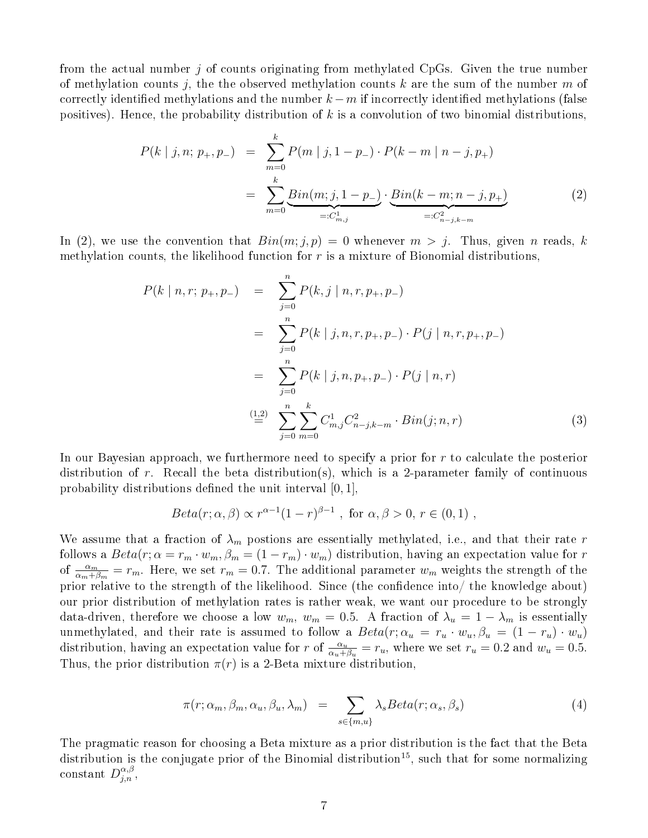from the actual number j of counts originating from methylated CpGs. Given the true number of methylation counts j, the the observed methylation counts k are the sum of the number  $m$  of correctly identified methylations and the number  $k - m$  if incorrectly identified methylations (false positives). Hence, the probability distribution of  $k$  is a convolution of two binomial distributions,

$$
P(k | j, n; p_{+}, p_{-}) = \sum_{m=0}^{k} P(m | j, 1 - p_{-}) \cdot P(k - m | n - j, p_{+})
$$
  
= 
$$
\sum_{m=0}^{k} \underbrace{Bin(m; j, 1 - p_{-})}_{=:C_{m,j}^{1}} \cdot \underbrace{Bin(k - m; n - j, p_{+})}_{=:C_{n-j,k-m}^{2}}
$$
 (2)

In (2), we use the convention that  $Bin(m; j, p) = 0$  whenever  $m > j$ . Thus, given n reads, k methylation counts, the likelihood function for  $r$  is a mixture of Bionomial distributions,

$$
P(k | n, r; p_{+}, p_{-}) = \sum_{j=0}^{n} P(k, j | n, r, p_{+}, p_{-})
$$
  
= 
$$
\sum_{j=0}^{n} P(k | j, n, r, p_{+}, p_{-}) \cdot P(j | n, r, p_{+}, p_{-})
$$
  
= 
$$
\sum_{j=0}^{n} P(k | j, n, p_{+}, p_{-}) \cdot P(j | n, r)
$$
  

$$
\stackrel{(1,2)}{=} \sum_{j=0}^{n} \sum_{m=0}^{k} C_{m,j}^{1} C_{n-j,k-m}^{2} \cdot Bin(j; n, r)
$$
 (3)

In our Bayesian approach, we furthermore need to specify a prior for  $r$  to calculate the posterior distribution of r. Recall the beta distribution(s), which is a 2-parameter family of continuous probability distributions defined the unit interval  $[0, 1]$ ,

$$
Beta(r; \alpha, \beta) \propto r^{\alpha - 1} (1 - r)^{\beta - 1}, \text{ for } \alpha, \beta > 0, r \in (0, 1),
$$

We assume that a fraction of  $\lambda_m$  postions are essentially methylated, i.e., and that their rate r follows a  $Beta(r; \alpha = r_m \cdot w_m, \beta_m = (1 - r_m) \cdot w_m)$  distribution, having an expectation value for r of  $\frac{\alpha_m}{\alpha_m+\beta_m}=r_m$ . Here, we set  $r_m=0.7$ . The additional parameter  $w_m$  weights the strength of the prior relative to the strength of the likelihood. Since (the confidence into/ the knowledge about) our prior distribution of methylation rates is rather weak, we want our procedure to be strongly data-driven, therefore we choose a low  $w_m$ ,  $w_m = 0.5$ . A fraction of  $\lambda_u = 1 - \lambda_m$  is essentially unmethylated, and their rate is assumed to follow a  $Beta(r; \alpha_u = r_u \cdot w_u, \beta_u = (1 - r_u) \cdot w_u)$ distribution, having an expectation value for r of  $\frac{\alpha_u}{\alpha_u+\beta_u} = r_u$ , where we set  $r_u = 0.2$  and  $w_u = 0.5$ . Thus, the prior distribution  $\pi(r)$  is a 2-Beta mixture distribution,

$$
\pi(r; \alpha_m, \beta_m, \alpha_u, \beta_u, \lambda_m) = \sum_{s \in \{m, u\}} \lambda_s Beta(r; \alpha_s, \beta_s)
$$
\n(4)

The pragmatic reason for choosing a Beta mixture as a prior distribution is the fact that the Beta distribution is the conjugate prior of the Binomial distribution<sup>15</sup>, such that for some normalizing constant  $D_{j,n}^{\alpha,\beta}$ ,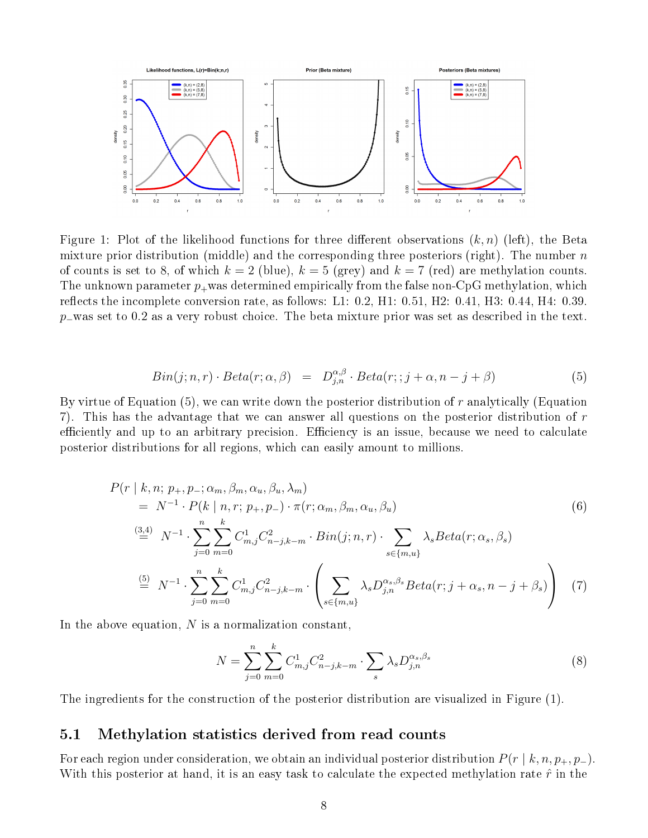

Figure 1: Plot of the likelihood functions for three different observations  $(k, n)$  (left), the Beta mixture prior distribution (middle) and the corresponding three posteriors (right). The number  $n$ of counts is set to 8, of which  $k = 2$  (blue),  $k = 5$  (grey) and  $k = 7$  (red) are methylation counts. The unknown parameter  $p_+$  was determined empirically from the false non-CpG methylation, which reflects the incomplete conversion rate, as follows: L1:  $0.2, H1: 0.51, H2: 0.41, H3: 0.44, H4: 0.39$ . p−was set to 0.2 as a very robust choice. The beta mixture prior was set as described in the text.

$$
Bin(j; n, r) \cdot Beta(r; \alpha, \beta) = D_{j,n}^{\alpha, \beta} \cdot Beta(r; j + \alpha, n - j + \beta)
$$
\n(5)

By virtue of Equation (5), we can write down the posterior distribution of r analytically (Equation 7). This has the advantage that we can answer all questions on the posterior distribution of  $r$ efficiently and up to an arbitrary precision. Efficiency is an issue, because we need to calculate posterior distributions for all regions, which can easily amount to millions.

$$
P(r | k, n; p_{+}, p_{-}; \alpha_{m}, \beta_{m}, \alpha_{u}, \beta_{u}, \lambda_{m})
$$
  
\n
$$
= N^{-1} \cdot P(k | n, r; p_{+}, p_{-}) \cdot \pi(r; \alpha_{m}, \beta_{m}, \alpha_{u}, \beta_{u})
$$
  
\n
$$
\stackrel{(3,4)}{=} N^{-1} \cdot \sum_{j=0}^{n} \sum_{m=0}^{k} C_{m,j}^{1} C_{n-j,k-m}^{2} \cdot Bin(j; n, r) \cdot \sum_{s \in \{m, u\}} \lambda_{s} Beta(r; \alpha_{s}, \beta_{s})
$$
  
\n
$$
\stackrel{(5)}{=} N^{-1} \cdot \sum_{j=0}^{n} \sum_{m=0}^{k} C_{m,j}^{1} C_{n-j,k-m}^{2} \cdot \left( \sum_{s \in \{m, u\}} \lambda_{s} D_{j,n}^{\alpha_{s}, \beta_{s}} Beta(r; j + \alpha_{s}, n - j + \beta_{s}) \right)
$$
(7)

In the above equation,  $N$  is a normalization constant,

$$
N = \sum_{j=0}^{n} \sum_{m=0}^{k} C_{m,j}^{1} C_{n-j,k-m}^{2} \cdot \sum_{s} \lambda_{s} D_{j,n}^{\alpha_{s},\beta_{s}}
$$
(8)

The ingredients for the construction of the posterior distribution are visualized in Figure (1).

#### 5.1 Methylation statistics derived from read counts

For each region under consideration, we obtain an individual posterior distribution  $P(r | k, n, p_+, p_-)$ . With this posterior at hand, it is an easy task to calculate the expected methylation rate  $\hat{r}$  in the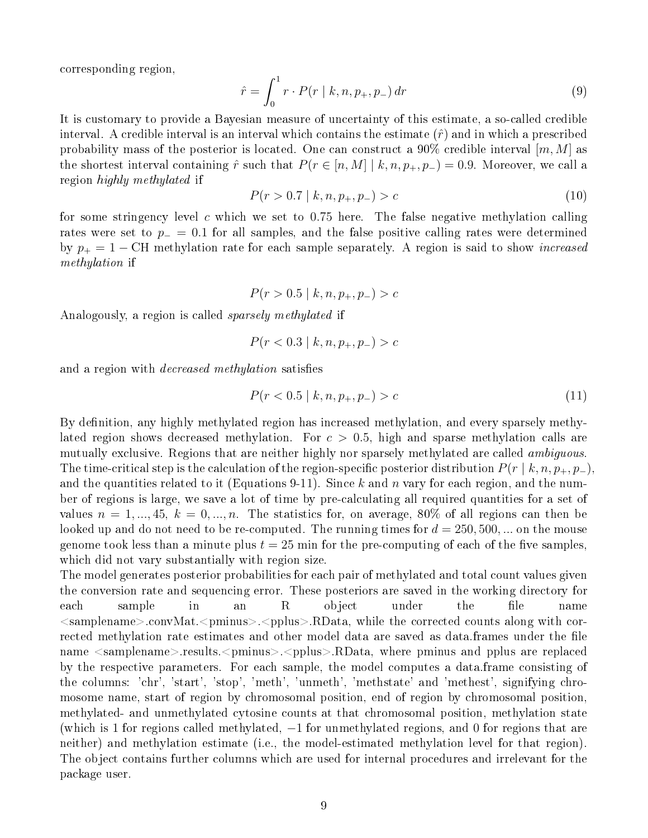corresponding region,

$$
\hat{r} = \int_0^1 r \cdot P(r \mid k, n, p_+, p_-) \, dr \tag{9}
$$

It is customary to provide a Bayesian measure of uncertainty of this estimate, a so-called credible interval. A credible interval is an interval which contains the estimate  $(\hat{r})$  and in which a prescribed probability mass of the posterior is located. One can construct a  $90\%$  credible interval  $[m, M]$  as the shortest interval containing  $\hat{r}$  such that  $P(r \in [n, M] \mid k, n, p_+, p_-) = 0.9$ . Moreover, we call a region highly methylated if

$$
P(r > 0.7 \mid k, n, p_+, p_-) > c \tag{10}
$$

for some stringency level c which we set to 0.75 here. The false negative methylation calling rates were set to  $p_-=0.1$  for all samples, and the false positive calling rates were determined by  $p_+ = 1 - \text{CH}$  methylation rate for each sample separately. A region is said to show *increased* methylation if

 $P(r > 0.5 \mid k, n, p_+, p_-) > c$ 

Analogously, a region is called sparsely methylated if

$$
P(r < 0.3 \mid k, n, p_+, p_-) > c
$$

and a region with *decreased methylation* satisfies

$$
P(r < 0.5 \mid k, n, p_+, p_-) > c \tag{11}
$$

By definition, any highly methylated region has increased methylation, and every sparsely methylated region shows decreased methylation. For  $c > 0.5$ , high and sparse methylation calls are mutually exclusive. Regions that are neither highly nor sparsely methylated are called *ambiguous*. The time-critical step is the calculation of the region-specific posterior distribution  $P(r | k, n, p_+, p_-)$ , and the quantities related to it (Equations 9-11). Since k and n vary for each region, and the number of regions is large, we save a lot of time by pre-calculating all required quantities for a set of values  $n = 1, ..., 45, k = 0, ..., n$ . The statistics for, on average, 80% of all regions can then be looked up and do not need to be re-computed. The running times for  $d = 250, 500, ...$  on the mouse genome took less than a minute plus  $t = 25$  min for the pre-computing of each of the five samples, which did not vary substantially with region size.

The model generates posterior probabilities for each pair of methylated and total count values given the conversion rate and sequencing error. These posteriors are saved in the working directory for each sample in an R object under the file name  $\leq$ samplename>.convMat. $\leq$ pminus>. $\leq$ pplus>.RData, while the corrected counts along with corrected methylation rate estimates and other model data are saved as data.frames under the file name  $\leq$ samplename>.results. $\leq$ pminus>. $\leq$ pplus>.RData, where pminus and pplus are replaced by the respective parameters. For each sample, the model computes a data.frame consisting of the columns: 'chr', 'start', 'stop', 'meth', 'unmeth', 'methstate' and 'methest', signifying chromosome name, start of region by chromosomal position, end of region by chromosomal position, methylated- and unmethylated cytosine counts at that chromosomal position, methylation state (which is 1 for regions called methylated,  $-1$  for unmethylated regions, and 0 for regions that are neither) and methylation estimate (i.e., the model-estimated methylation level for that region). The object contains further columns which are used for internal procedures and irrelevant for the package user.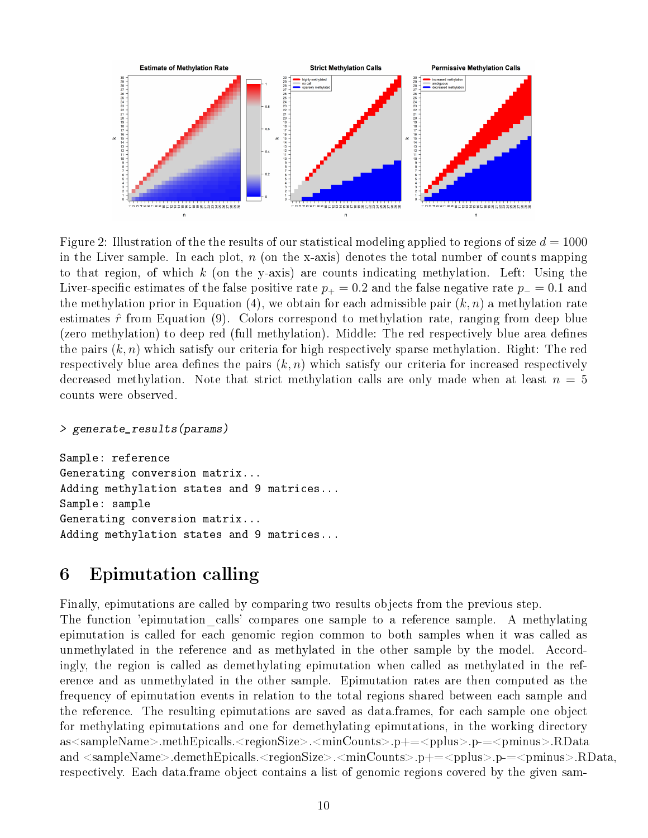

Figure 2: Illustration of the the results of our statistical modeling applied to regions of size  $d = 1000$ in the Liver sample. In each plot,  $n$  (on the x-axis) denotes the total number of counts mapping to that region, of which k (on the y-axis) are counts indicating methylation. Left: Using the Liver-specific estimates of the false positive rate  $p_{+} = 0.2$  and the false negative rate  $p_{-} = 0.1$  and the methylation prior in Equation (4), we obtain for each admissible pair  $(k, n)$  a methylation rate estimates  $\hat{r}$  from Equation (9). Colors correspond to methylation rate, ranging from deep blue (zero methylation) to deep red (full methylation). Middle: The red respectively blue area defines the pairs  $(k, n)$  which satisfy our criteria for high respectively sparse methylation. Right: The red respectively blue area defines the pairs  $(k, n)$  which satisfy our criteria for increased respectively decreased methylation. Note that strict methylation calls are only made when at least  $n = 5$ counts were observed.

#### > generate\_results(params)

Sample: reference Generating conversion matrix... Adding methylation states and 9 matrices... Sample: sample Generating conversion matrix... Adding methylation states and 9 matrices...

### 6 Epimutation calling

Finally, epimutations are called by comparing two results objects from the previous step. The function 'epimutation calls' compares one sample to a reference sample. A methylating epimutation is called for each genomic region common to both samples when it was called as unmethylated in the reference and as methylated in the other sample by the model. Accordingly, the region is called as demethylating epimutation when called as methylated in the reference and as unmethylated in the other sample. Epimutation rates are then computed as the frequency of epimutation events in relation to the total regions shared between each sample and the reference. The resulting epimutations are saved as data.frames, for each sample one object for methylating epimutations and one for demethylating epimutations, in the working directory as<sampleName>.methEpicalls.<regionSize>.<minCounts>.p+=<pplus>.p-=<pminus>.RData and <sampleName>.demethEpicalls.<regionSize>.<minCounts>.p+=<pplus>.p-=<pminus>.RData, respectively. Each data.frame object contains a list of genomic regions covered by the given sam-